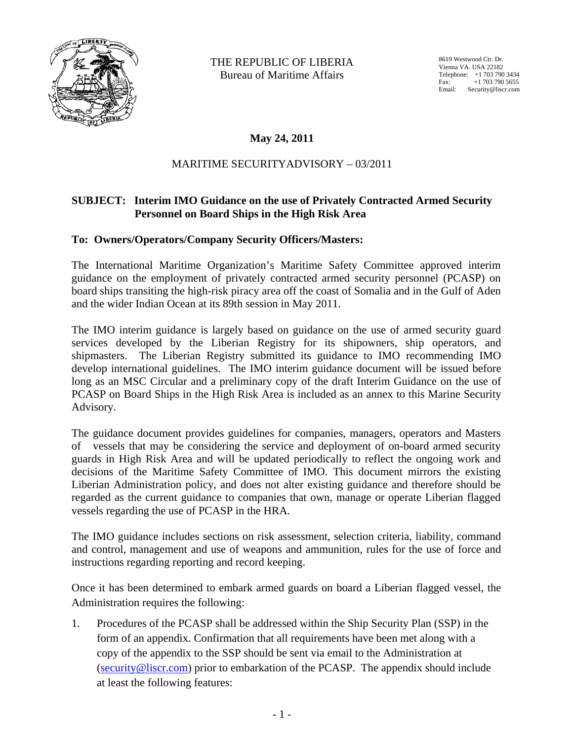

THE REPUBLIC OF LIBERIA Bureau of Maritime Affairs

8619 Westwood Ctr. Dr. Vienna VA. USA 22182 Telephone: +1 703 790 3434<br>Fax: +1 703 790 5655 +1 703 790 5655 Email: Security@liscr.com

# **May 24, 2011**

# MARITIME SECURITYADVISORY – 03/2011

## **SUBJECT: Interim IMO Guidance on the use of Privately Contracted Armed Security Personnel on Board Ships in the High Risk Area**

## **To: Owners/Operators/Company Security Officers/Masters:**

The International Maritime Organization's Maritime Safety Committee approved interim guidance on the employment of privately contracted armed security personnel (PCASP) on board ships transiting the high-risk piracy area off the coast of Somalia and in the Gulf of Aden and the wider Indian Ocean at its 89th session in May 2011.

The IMO interim guidance is largely based on guidance on the use of armed security guard services developed by the Liberian Registry for its shipowners, ship operators, and shipmasters. The Liberian Registry submitted its guidance to IMO recommending IMO develop international guidelines. The IMO interim guidance document will be issued before long as an MSC Circular and a preliminary copy of the draft Interim Guidance on the use of PCASP on Board Ships in the High Risk Area is included as an annex to this Marine Security Advisory.

The guidance document provides guidelines for companies, managers, operators and Masters of vessels that may be considering the service and deployment of on-board armed security guards in High Risk Area and will be updated periodically to reflect the ongoing work and decisions of the Maritime Safety Committee of IMO. This document mirrors the existing Liberian Administration policy, and does not alter existing guidance and therefore should be regarded as the current guidance to companies that own, manage or operate Liberian flagged vessels regarding the use of PCASP in the HRA.

The IMO guidance includes sections on risk assessment, selection criteria, liability, command and control, management and use of weapons and ammunition, rules for the use of force and instructions regarding reporting and record keeping.

Once it has been determined to embark armed guards on board a Liberian flagged vessel, the Administration requires the following:

1. Procedures of the PCASP shall be addressed within the Ship Security Plan (SSP) in the form of an appendix. Confirmation that all requirements have been met along with a copy of the appendix to the SSP should be sent via email to the Administration at (security@liscr.com) prior to embarkation of the PCASP. The appendix should include at least the following features: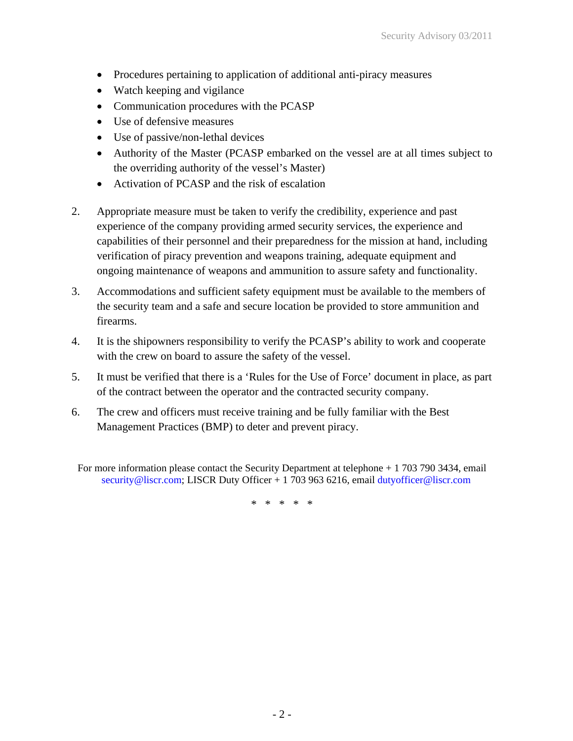- Procedures pertaining to application of additional anti-piracy measures
- Watch keeping and vigilance
- Communication procedures with the PCASP
- Use of defensive measures
- Use of passive/non-lethal devices
- Authority of the Master (PCASP embarked on the vessel are at all times subject to the overriding authority of the vessel's Master)
- Activation of PCASP and the risk of escalation
- 2. Appropriate measure must be taken to verify the credibility, experience and past experience of the company providing armed security services, the experience and capabilities of their personnel and their preparedness for the mission at hand, including verification of piracy prevention and weapons training, adequate equipment and ongoing maintenance of weapons and ammunition to assure safety and functionality.
- 3. Accommodations and sufficient safety equipment must be available to the members of the security team and a safe and secure location be provided to store ammunition and firearms.
- 4. It is the shipowners responsibility to verify the PCASP's ability to work and cooperate with the crew on board to assure the safety of the vessel.
- 5. It must be verified that there is a 'Rules for the Use of Force' document in place, as part of the contract between the operator and the contracted security company.
- 6. The crew and officers must receive training and be fully familiar with the Best Management Practices (BMP) to deter and prevent piracy.

For more information please contact the Security Department at telephone + 1 703 790 3434, email security@liscr.com; LISCR Duty Officer + 1 703 963 6216, email dutyofficer@liscr.com

\* \* \* \* \*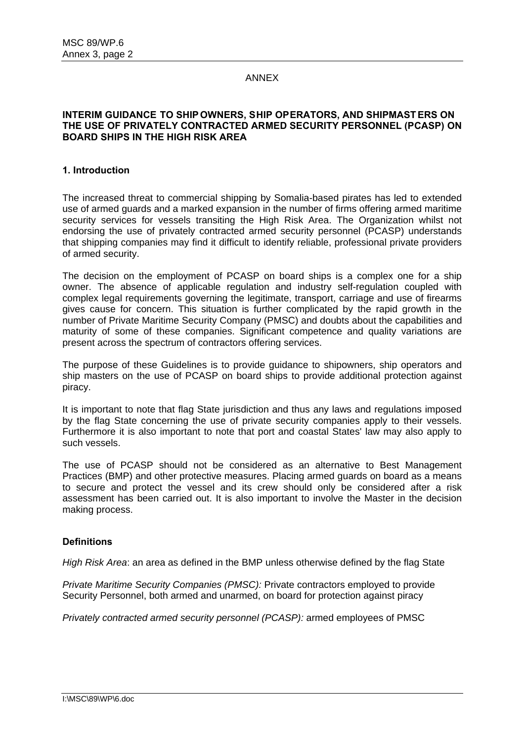### ANNEX

#### **INTERIM GUIDANCE TO SHIP OWNERS, SHIP OPERATORS, AND SHIPMAST ERS ON THE USE OF PRIVATELY CONTRACTED ARMED SECURITY PERSONNEL (PCASP) ON BOARD SHIPS IN THE HIGH RISK AREA**

### **1. Introduction**

The increased threat to commercial shipping by Somalia-based pirates has led to extended use of armed guards and a marked expansion in the number of firms offering armed maritime security services for vessels transiting the High Risk Area. The Organization whilst not endorsing the use of privately contracted armed security personnel (PCASP) understands that shipping companies may find it difficult to identify reliable, professional private providers of armed security.

The decision on the employment of PCASP on board ships is a complex one for a ship owner. The absence of applicable regulation and industry self-regulation coupled with complex legal requirements governing the legitimate, transport, carriage and use of firearms gives cause for concern. This situation is further complicated by the rapid growth in the number of Private Maritime Security Company (PMSC) and doubts about the capabilities and maturity of some of these companies. Significant competence and quality variations are present across the spectrum of contractors offering services.

The purpose of these Guidelines is to provide guidance to shipowners, ship operators and ship masters on the use of PCASP on board ships to provide additional protection against piracy.

It is important to note that flag State jurisdiction and thus any laws and regulations imposed by the flag State concerning the use of private security companies apply to their vessels. Furthermore it is also important to note that port and coastal States' law may also apply to such vessels.

The use of PCASP should not be considered as an alternative to Best Management Practices (BMP) and other protective measures. Placing armed guards on board as a means to secure and protect the vessel and its crew should only be considered after a risk assessment has been carried out. It is also important to involve the Master in the decision making process.

### **Definitions**

*High Risk Area*: an area as defined in the BMP unless otherwise defined by the flag State

*Private Maritime Security Companies (PMSC):* Private contractors employed to provide Security Personnel, both armed and unarmed, on board for protection against piracy

*Privately contracted armed security personnel (PCASP):* armed employees of PMSC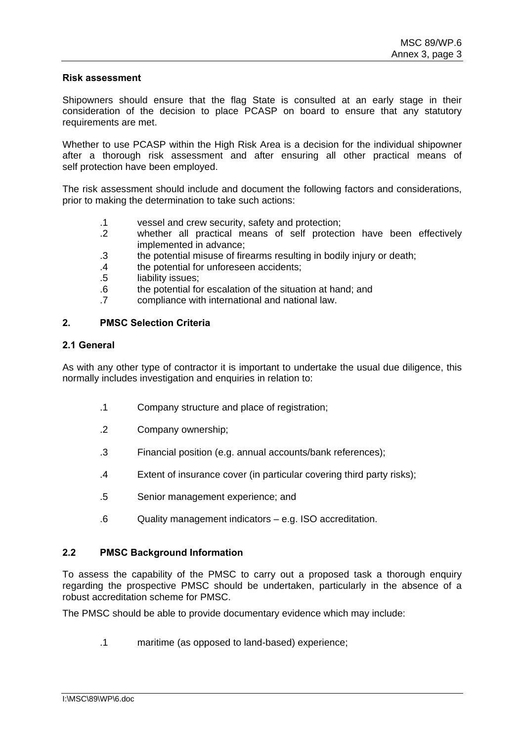#### **Risk assessment**

Shipowners should ensure that the flag State is consulted at an early stage in their consideration of the decision to place PCASP on board to ensure that any statutory requirements are met.

Whether to use PCASP within the High Risk Area is a decision for the individual shipowner after a thorough risk assessment and after ensuring all other practical means of self protection have been employed.

The risk assessment should include and document the following factors and considerations, prior to making the determination to take such actions:

- .1 vessel and crew security, safety and protection;
- .2 whether all practical means of self protection have been effectively implemented in advance;
- .3 the potential misuse of firearms resulting in bodily injury or death;
- .4 the potential for unforeseen accidents;
- .5 liability issues;
- .6 the potential for escalation of the situation at hand; and
- .7 compliance with international and national law.

#### **2. PMSC Selection Criteria**

#### **2.1 General**

As with any other type of contractor it is important to undertake the usual due diligence, this normally includes investigation and enquiries in relation to:

- .1 Company structure and place of registration;
- .2 Company ownership;
- .3 Financial position (e.g. annual accounts/bank references);
- .4 Extent of insurance cover (in particular covering third party risks);
- .5 Senior management experience; and
- .6 Quality management indicators e.g. ISO accreditation.

#### **2.2 PMSC Background Information**

To assess the capability of the PMSC to carry out a proposed task a thorough enquiry regarding the prospective PMSC should be undertaken, particularly in the absence of a robust accreditation scheme for PMSC.

The PMSC should be able to provide documentary evidence which may include:

.1 maritime (as opposed to land-based) experience;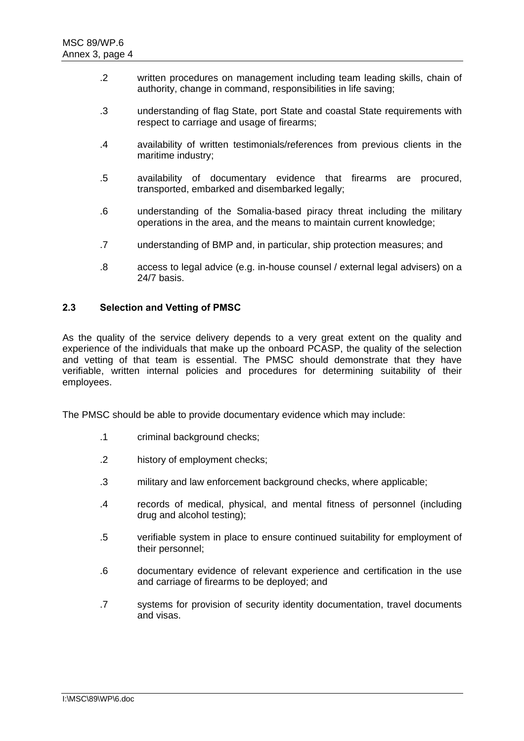- .2 written procedures on management including team leading skills, chain of authority, change in command, responsibilities in life saving;
- .3 understanding of flag State, port State and coastal State requirements with respect to carriage and usage of firearms;
- .4 availability of written testimonials/references from previous clients in the maritime industry;
- .5 availability of documentary evidence that firearms are procured, transported, embarked and disembarked legally;
- .6 understanding of the Somalia-based piracy threat including the military operations in the area, and the means to maintain current knowledge;
- .7 understanding of BMP and, in particular, ship protection measures; and
- .8 access to legal advice (e.g. in-house counsel / external legal advisers) on a 24/7 basis.

### **2.3 Selection and Vetting of PMSC**

As the quality of the service delivery depends to a very great extent on the quality and experience of the individuals that make up the onboard PCASP, the quality of the selection and vetting of that team is essential. The PMSC should demonstrate that they have verifiable, written internal policies and procedures for determining suitability of their employees.

The PMSC should be able to provide documentary evidence which may include:

- .1 criminal background checks;
- .2 history of employment checks;
- .3 military and law enforcement background checks, where applicable;
- .4 records of medical, physical, and mental fitness of personnel (including drug and alcohol testing);
- .5 verifiable system in place to ensure continued suitability for employment of their personnel;
- .6 documentary evidence of relevant experience and certification in the use and carriage of firearms to be deployed; and
- .7 systems for provision of security identity documentation, travel documents and visas.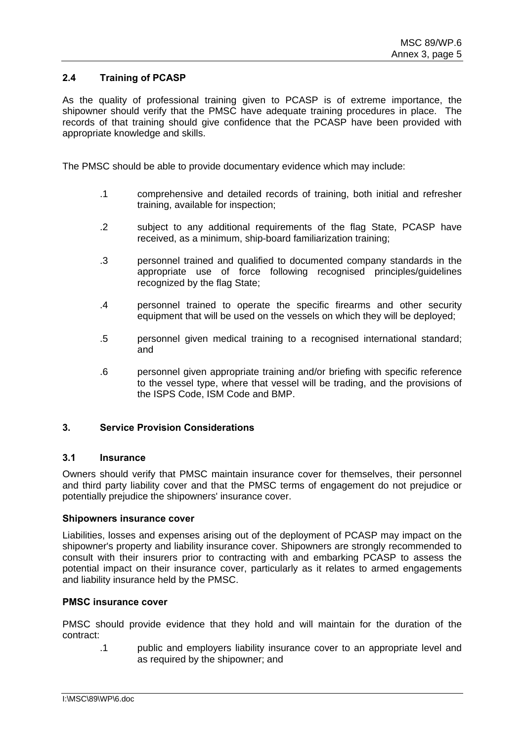### **2.4 Training of PCASP**

As the quality of professional training given to PCASP is of extreme importance, the shipowner should verify that the PMSC have adequate training procedures in place. The records of that training should give confidence that the PCASP have been provided with appropriate knowledge and skills.

The PMSC should be able to provide documentary evidence which may include:

- .1 comprehensive and detailed records of training, both initial and refresher training, available for inspection;
- .2 subject to any additional requirements of the flag State, PCASP have received, as a minimum, ship-board familiarization training;
- .3 personnel trained and qualified to documented company standards in the appropriate use of force following recognised principles/guidelines recognized by the flag State;
- .4 personnel trained to operate the specific firearms and other security equipment that will be used on the vessels on which they will be deployed;
- .5 personnel given medical training to a recognised international standard; and
- .6 personnel given appropriate training and/or briefing with specific reference to the vessel type, where that vessel will be trading, and the provisions of the ISPS Code, ISM Code and BMP.

### **3. Service Provision Considerations**

#### **3.1 Insurance**

Owners should verify that PMSC maintain insurance cover for themselves, their personnel and third party liability cover and that the PMSC terms of engagement do not prejudice or potentially prejudice the shipowners' insurance cover.

#### **Shipowners insurance cover**

Liabilities, losses and expenses arising out of the deployment of PCASP may impact on the shipowner's property and liability insurance cover. Shipowners are strongly recommended to consult with their insurers prior to contracting with and embarking PCASP to assess the potential impact on their insurance cover, particularly as it relates to armed engagements and liability insurance held by the PMSC.

### **PMSC insurance cover**

PMSC should provide evidence that they hold and will maintain for the duration of the contract:

.1 public and employers liability insurance cover to an appropriate level and as required by the shipowner; and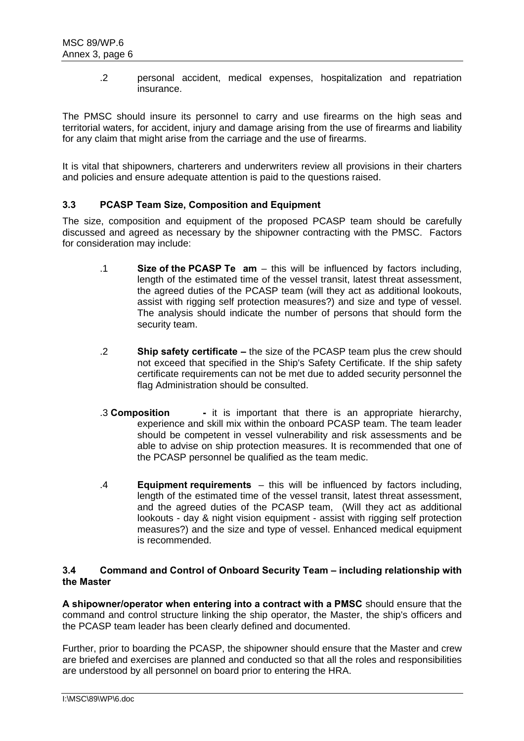.2 personal accident, medical expenses, hospitalization and repatriation insurance.

The PMSC should insure its personnel to carry and use firearms on the high seas and territorial waters, for accident, injury and damage arising from the use of firearms and liability for any claim that might arise from the carriage and the use of firearms.

It is vital that shipowners, charterers and underwriters review all provisions in their charters and policies and ensure adequate attention is paid to the questions raised.

### **3.3 PCASP Team Size, Composition and Equipment**

The size, composition and equipment of the proposed PCASP team should be carefully discussed and agreed as necessary by the shipowner contracting with the PMSC. Factors for consideration may include:

- .1 **Size of the PCASP Te am** this will be influenced by factors including, length of the estimated time of the vessel transit, latest threat assessment, the agreed duties of the PCASP team (will they act as additional lookouts, assist with rigging self protection measures?) and size and type of vessel. The analysis should indicate the number of persons that should form the security team.
- .2 **Ship safety certificate** the size of the PCASP team plus the crew should not exceed that specified in the Ship's Safety Certificate. If the ship safety certificate requirements can not be met due to added security personnel the flag Administration should be consulted.
- .3 **Composition** it is important that there is an appropriate hierarchy, experience and skill mix within the onboard PCASP team. The team leader should be competent in vessel vulnerability and risk assessments and be able to advise on ship protection measures. It is recommended that one of the PCASP personnel be qualified as the team medic.
- .4 **Equipment requirements** this will be influenced by factors including, length of the estimated time of the vessel transit, latest threat assessment, and the agreed duties of the PCASP team, (Will they act as additional lookouts - day & night vision equipment - assist with rigging self protection measures?) and the size and type of vessel. Enhanced medical equipment is recommended.

### **3.4 Command and Control of Onboard Security Team – including relationship with the Master**

**A shipowner/operator when entering into a contract with a PMSC** should ensure that the command and control structure linking the ship operator, the Master, the ship's officers and the PCASP team leader has been clearly defined and documented.

Further, prior to boarding the PCASP, the shipowner should ensure that the Master and crew are briefed and exercises are planned and conducted so that all the roles and responsibilities are understood by all personnel on board prior to entering the HRA.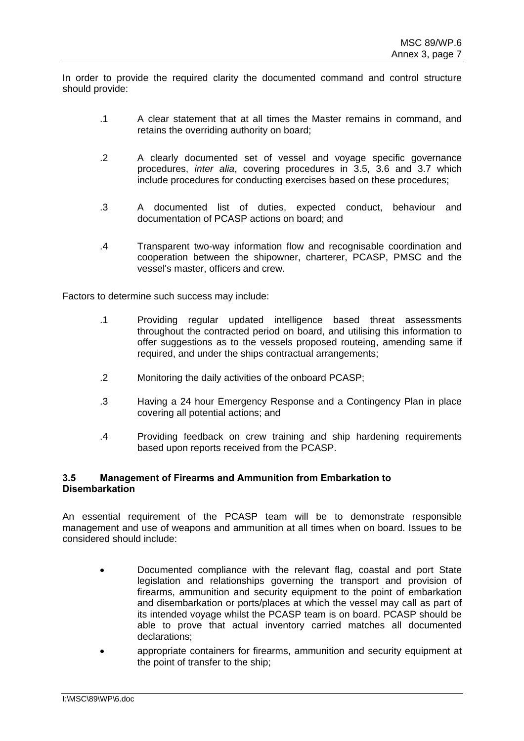In order to provide the required clarity the documented command and control structure should provide:

- .1 A clear statement that at all times the Master remains in command, and retains the overriding authority on board;
- .2 A clearly documented set of vessel and voyage specific governance procedures, *inter alia*, covering procedures in 3.5, 3.6 and 3.7 which include procedures for conducting exercises based on these procedures;
- .3 A documented list of duties, expected conduct, behaviour and documentation of PCASP actions on board; and
- .4 Transparent two-way information flow and recognisable coordination and cooperation between the shipowner, charterer, PCASP, PMSC and the vessel's master, officers and crew.

Factors to determine such success may include:

- .1 Providing regular updated intelligence based threat assessments throughout the contracted period on board, and utilising this information to offer suggestions as to the vessels proposed routeing, amending same if required, and under the ships contractual arrangements;
- .2 Monitoring the daily activities of the onboard PCASP;
- .3 Having a 24 hour Emergency Response and a Contingency Plan in place covering all potential actions; and
- .4 Providing feedback on crew training and ship hardening requirements based upon reports received from the PCASP.

#### **3.5 Management of Firearms and Ammunition from Embarkation to Disembarkation**

An essential requirement of the PCASP team will be to demonstrate responsible management and use of weapons and ammunition at all times when on board. Issues to be considered should include:

- Documented compliance with the relevant flag, coastal and port State legislation and relationships governing the transport and provision of firearms, ammunition and security equipment to the point of embarkation and disembarkation or ports/places at which the vessel may call as part of its intended voyage whilst the PCASP team is on board. PCASP should be able to prove that actual inventory carried matches all documented declarations;
- appropriate containers for firearms, ammunition and security equipment at the point of transfer to the ship;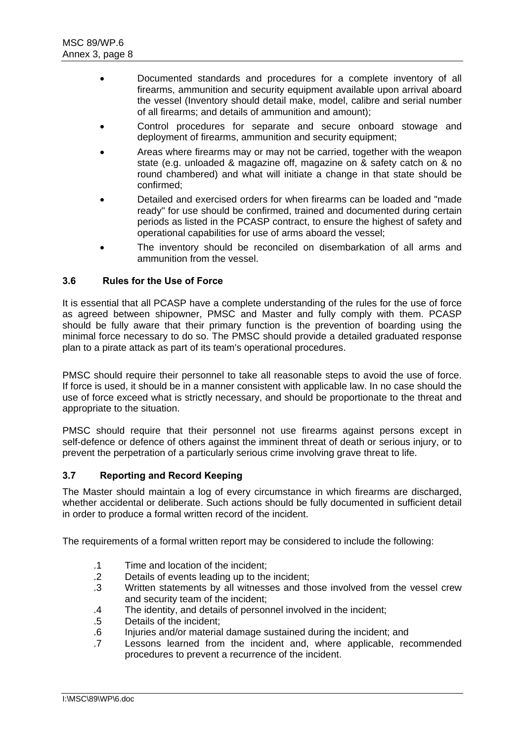- Documented standards and procedures for a complete inventory of all firearms, ammunition and security equipment available upon arrival aboard the vessel (Inventory should detail make, model, calibre and serial number of all firearms; and details of ammunition and amount);
- Control procedures for separate and secure onboard stowage and deployment of firearms, ammunition and security equipment;
- Areas where firearms may or may not be carried, together with the weapon state (e.g. unloaded & magazine off, magazine on & safety catch on & no round chambered) and what will initiate a change in that state should be confirmed;
- Detailed and exercised orders for when firearms can be loaded and "made ready" for use should be confirmed, trained and documented during certain periods as listed in the PCASP contract, to ensure the highest of safety and operational capabilities for use of arms aboard the vessel;
- The inventory should be reconciled on disembarkation of all arms and ammunition from the vessel.

### **3.6 Rules for the Use of Force**

It is essential that all PCASP have a complete understanding of the rules for the use of force as agreed between shipowner, PMSC and Master and fully comply with them. PCASP should be fully aware that their primary function is the prevention of boarding using the minimal force necessary to do so. The PMSC should provide a detailed graduated response plan to a pirate attack as part of its team's operational procedures.

PMSC should require their personnel to take all reasonable steps to avoid the use of force. If force is used, it should be in a manner consistent with applicable law. In no case should the use of force exceed what is strictly necessary, and should be proportionate to the threat and appropriate to the situation.

PMSC should require that their personnel not use firearms against persons except in self-defence or defence of others against the imminent threat of death or serious injury, or to prevent the perpetration of a particularly serious crime involving grave threat to life.

### **3.7 Reporting and Record Keeping**

The Master should maintain a log of every circumstance in which firearms are discharged, whether accidental or deliberate. Such actions should be fully documented in sufficient detail in order to produce a formal written record of the incident.

The requirements of a formal written report may be considered to include the following:

- .1 Time and location of the incident;
- .2 Details of events leading up to the incident;
- .3 Written statements by all witnesses and those involved from the vessel crew and security team of the incident;
- .4 The identity, and details of personnel involved in the incident;
- .5 Details of the incident;
- .6 Injuries and/or material damage sustained during the incident; and
- .7 Lessons learned from the incident and, where applicable, recommended procedures to prevent a recurrence of the incident.